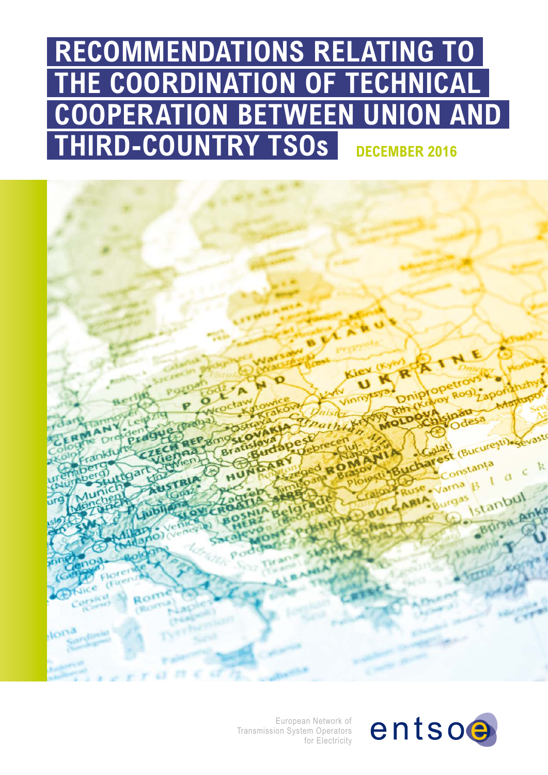# **RECOMMENDATIONS RELATING TO THE COORDINATION OF TECHNICAL COOPERATION BETWEEN UNION AND THIRD-COUNTRY TSOS DECEMBER 2016**



European Network of Transmission System Operators for Electricity

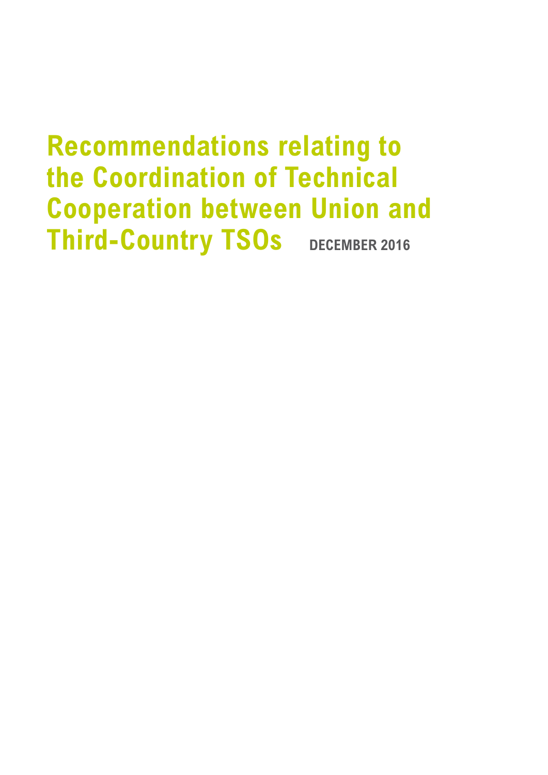# **Recommendations relating to the Coordination of Technical Cooperation between Union and Third-Country TSOs** DECEMBER 2016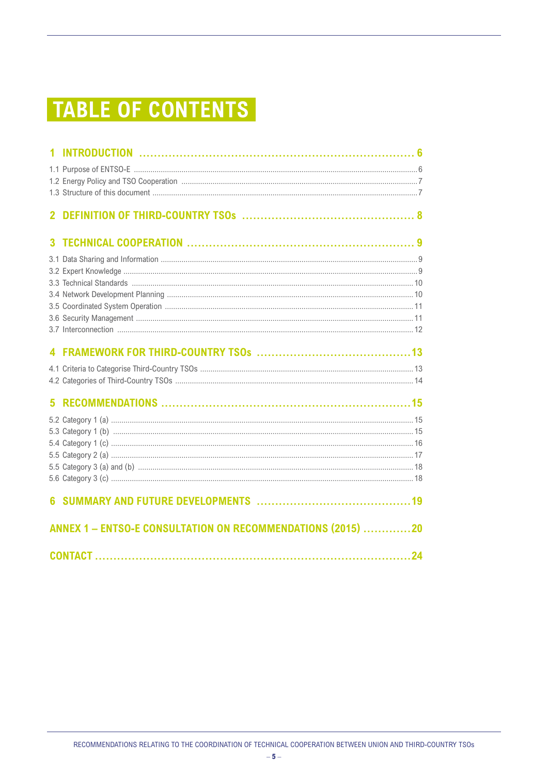### **TABLE OF CONTENTS**

| ANNEX 1 - ENTSO-E CONSULTATION ON RECOMMENDATIONS (2015) 20 |  |
|-------------------------------------------------------------|--|
|                                                             |  |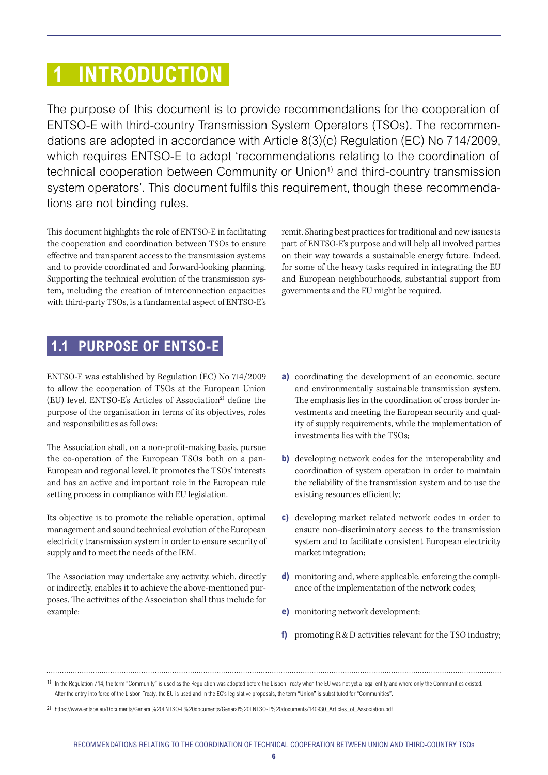### <span id="page-5-0"></span> **1 INTRODUCTION**

The purpose of this document is to provide recommendations for the cooperation of ENTSO-E with third-country Transmission System Operators (TSOs). The recommendations are adopted in accordance with Article 8(3)(c) Regulation (EC) No 714/2009, which requires ENTSO-E to adopt 'recommendations relating to the coordination of technical cooperation between Community or Union<sup>1)</sup> and third-country transmission system operators'. This document fulfils this requirement, though these recommendations are not binding rules.

This document highlights the role of ENTSO-E in facilitating the cooperation and coordination between TSOs to ensure effective and transparent access to the transmission systems and to provide coordinated and forward-looking planning. Supporting the technical evolution of the transmission system, including the creation of interconnection capacities with third-party TSOs, is a fundamental aspect of ENTSO-E's

remit. Sharing best practices for traditional and new issues is part of ENTSO-E's purpose and will help all involved parties on their way towards a sustainable energy future. Indeed, for some of the heavy tasks required in integrating the EU and European neighbourhoods, substantial support from governments and the EU might be required.

#### **1.1 PURPOSE OF ENTSO-E**

ENTSO-E was established by Regulation (EC) No 714/2009 to allow the cooperation of TSOs at the European Union  $(EU)$  level. ENTSO-E's Articles of Association<sup>2)</sup> define the purpose of the organisation in terms of its objectives, roles and responsibilities as follows:

The Association shall, on a non-profit-making basis, pursue the co-operation of the European TSOs both on a pan-European and regional level. It promotes the TSOs' interests and has an active and important role in the European rule setting process in compliance with EU legislation.

Its objective is to promote the reliable operation, optimal management and sound technical evolution of the European electricity transmission system in order to ensure security of supply and to meet the needs of the IEM.

The Association may undertake any activity, which, directly or indirectly, enables it to achieve the above-mentioned purposes. The activities of the Association shall thus include for example:

- **a)** coordinating the development of an economic, secure and environmentally sustainable transmission system. The emphasis lies in the coordination of cross border investments and meeting the European security and quality of supply requirements, while the implementation of investments lies with the TSOs;
- **b)** developing network codes for the interoperability and coordination of system operation in order to maintain the reliability of the transmission system and to use the existing resources efficiently;
- **c)** developing market related network codes in order to ensure non-discriminatory access to the transmission system and to facilitate consistent European electricity market integration;
- **d)** monitoring and, where applicable, enforcing the compliance of the implementation of the network codes;
- **e)** monitoring network development;
- **f)** promoting R&D activities relevant for the TSO industry;

<sup>1)</sup> In the Regulation 714, the term "Community" is used as the Regulation was adopted before the Lisbon Treaty when the EU was not yet a legal entity and where only the Communities existed. After the entry into force of the Lisbon Treaty, the EU is used and in the EC's legislative proposals, the term "Union" is substituted for "Communities".

<sup>2)</sup> https://www.entsoe.eu/Documents/General%20ENTSO-E%20documents/General%20ENTSO-E%20documents/140930\_Articles\_of\_Association.pdf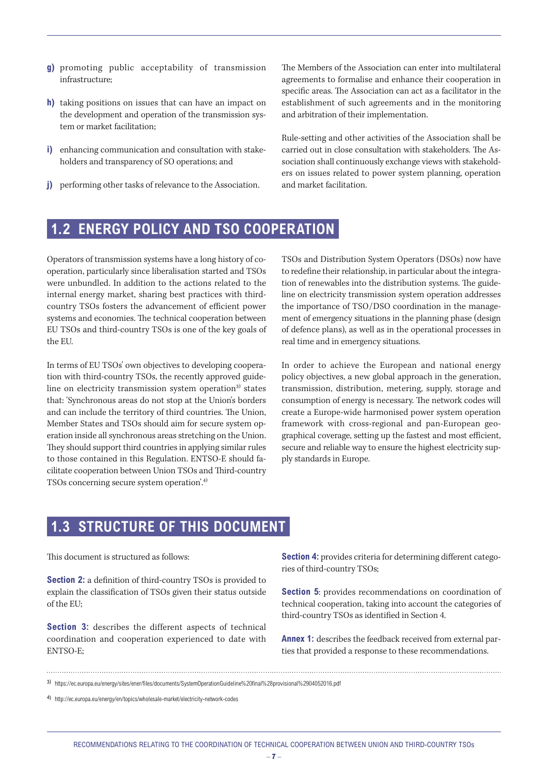- <span id="page-6-0"></span>**g)** promoting public acceptability of transmission infrastructure;
- **h)** taking positions on issues that can have an impact on the development and operation of the transmission system or market facilitation;
- **i)** enhancing communication and consultation with stakeholders and transparency of SO operations; and
- **j)** performing other tasks of relevance to the Association.

The Members of the Association can enter into multilateral agreements to formalise and enhance their cooperation in specific areas. The Association can act as a facilitator in the establishment of such agreements and in the monitoring and arbitration of their implementation.

Rule-setting and other activities of the Association shall be carried out in close consultation with stakeholders. The Association shall continuously exchange views with stakeholders on issues related to power system planning, operation and market facilitation.

#### **1.2 ENERGY POLICY AND TSO COOPERATION**

Operators of transmission systems have a long history of cooperation, particularly since liberalisation started and TSOs were unbundled. In addition to the actions related to the internal energy market, sharing best practices with thirdcountry TSOs fosters the advancement of efficient power systems and economies. The technical cooperation between EU TSOs and third-country TSOs is one of the key goals of the EU.

In terms of EU TSOs' own objectives to developing cooperation with third-country TSOs, the recently approved guideline on electricity transmission system operation<sup>3)</sup> states that: 'Synchronous areas do not stop at the Union's borders and can include the territory of third countries. The Union, Member States and TSOs should aim for secure system operation inside all synchronous areas stretching on the Union. They should support third countries in applying similar rules to those contained in this Regulation. ENTSO-E should facilitate cooperation between Union TSOs and Third-country TSOs concerning secure system operation'.4)

TSOs and Distribution System Operators (DSOs) now have to redefine their relationship, in particular about the integration of renewables into the distribution systems. The guideline on electricity transmission system operation addresses the importance of TSO/DSO coordination in the management of emergency situations in the planning phase (design of defence plans), as well as in the operational processes in real time and in emergency situations.

In order to achieve the European and national energy policy objectives, a new global approach in the generation, transmission, distribution, metering, supply, storage and consumption of energy is necessary. The network codes will create a Europe-wide harmonised power system operation framework with cross-regional and pan-European geographical coverage, setting up the fastest and most efficient, secure and reliable way to ensure the highest electricity supply standards in Europe.

#### **1.3 STRUCTURE OF THIS DOCUMENT**

This document is structured as follows:

**Section 2:** a definition of third-country TSOs is provided to explain the classification of TSOs given their status outside of the EU;

**Section 3:** describes the different aspects of technical coordination and cooperation experienced to date with ENTSO-E;

**Section 4:** provides criteria for determining different categories of third-country TSOs;

**Section 5**: provides recommendations on coordination of technical cooperation, taking into account the categories of third-country TSOs as identified in Section 4.

**Annex 1:** describes the feedback received from external parties that provided a response to these recommendations.

3) https://ec.europa.eu/energy/sites/ener/files/documents/SystemOperationGuideline%20final%28provisional%2904052016.pdf

4) http://ec.europa.eu/energy/en/topics/wholesale-market/electricity-network-codes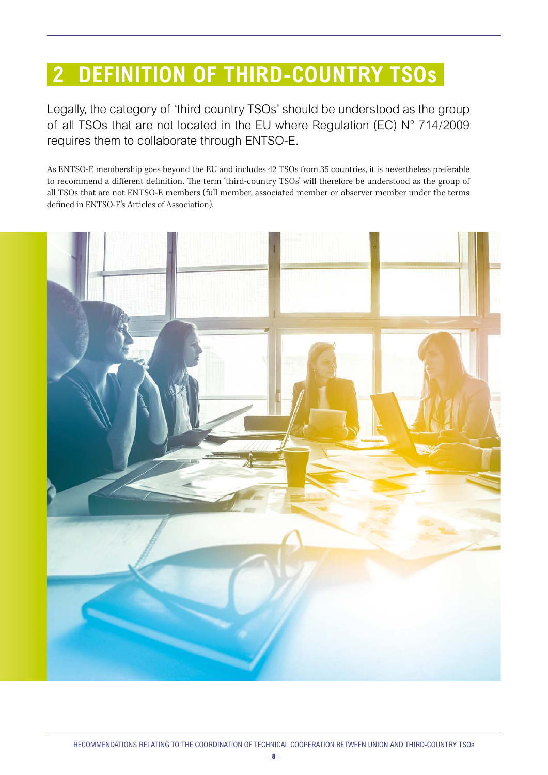### <span id="page-7-0"></span> **2 DEFINITION OF THIRD-COUNTRY TSOs**

Legally, the category of 'third country TSOs' should be understood as the group of all TSOs that are not located in the EU where Regulation (EC) N° 714/2009 requires them to collaborate through ENTSO-E.

As ENTSO-E membership goes beyond the EU and includes 42 TSOs from 35 countries, it is nevertheless preferable to recommend a different definition. The term 'third-country TSOs' will therefore be understood as the group of all TSOs that are not ENTSO-E members (full member, associated member or observer member under the terms defined in ENTSO-E's Articles of Association).

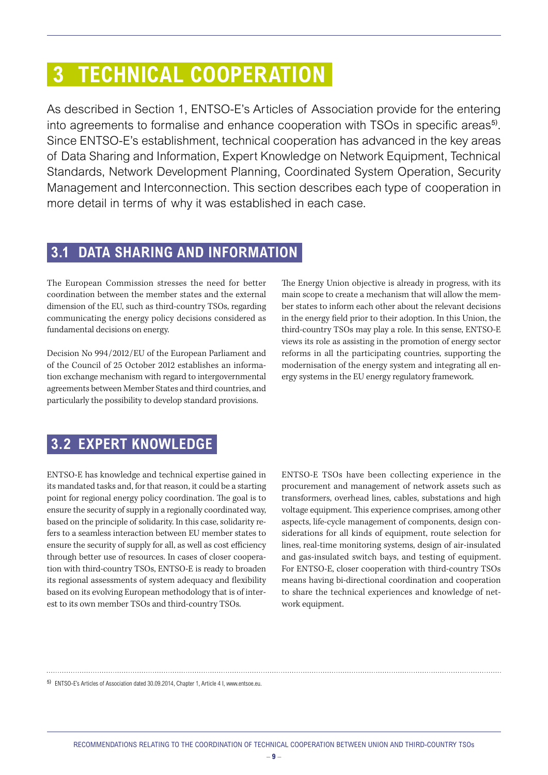### <span id="page-8-0"></span> **3 TECHNICAL COOPERATION**

As described in Section 1, ENTSO-E's Articles of Association provide for the entering into agreements to formalise and enhance cooperation with TSOs in specific areas<sup>5)</sup>. Since ENTSO-E's establishment, technical cooperation has advanced in the key areas of Data Sharing and Information, Expert Knowledge on Network Equipment, Technical Standards, Network Development Planning, Coordinated System Operation, Security Management and Interconnection. This section describes each type of cooperation in more detail in terms of why it was established in each case.

#### **3.1 DATA SHARING AND INFORMATION**

The European Commission stresses the need for better coordination between the member states and the external dimension of the EU, such as third-country TSOs, regarding communicating the energy policy decisions considered as fundamental decisions on energy.

Decision No 994/2012/EU of the European Parliament and of the Council of 25 October 2012 establishes an information exchange mechanism with regard to intergovernmental agreements between Member States and third countries, and particularly the possibility to develop standard provisions.

The Energy Union objective is already in progress, with its main scope to create a mechanism that will allow the member states to inform each other about the relevant decisions in the energy field prior to their adoption. In this Union, the third-country TSOs may play a role. In this sense, ENTSO-E views its role as assisting in the promotion of energy sector reforms in all the participating countries, supporting the modernisation of the energy system and integrating all energy systems in the EU energy regulatory framework.

#### **3.2 EXPERT KNOWLEDGE**

ENTSO-E has knowledge and technical expertise gained in its mandated tasks and, for that reason, it could be a starting point for regional energy policy coordination. The goal is to ensure the security of supply in a regionally coordinated way, based on the principle of solidarity. In this case, solidarity refers to a seamless interaction between EU member states to ensure the security of supply for all, as well as cost efficiency through better use of resources. In cases of closer cooperation with third-country TSOs, ENTSO-E is ready to broaden its regional assessments of system adequacy and flexibility based on its evolving European methodology that is of interest to its own member TSOs and third-country TSOs.

ENTSO-E TSOs have been collecting experience in the procurement and management of network assets such as transformers, overhead lines, cables, substations and high voltage equipment. This experience comprises, among other aspects, life-cycle management of components, design considerations for all kinds of equipment, route selection for lines, real-time monitoring systems, design of air-insulated and gas-insulated switch bays, and testing of equipment. For ENTSO-E, closer cooperation with third-country TSOs means having bi-directional coordination and cooperation to share the technical experiences and knowledge of network equipment.

5) ENTSO-E's Articles of Association dated 30.09.2014, Chapter 1, Article 4 I, www.entsoe.eu.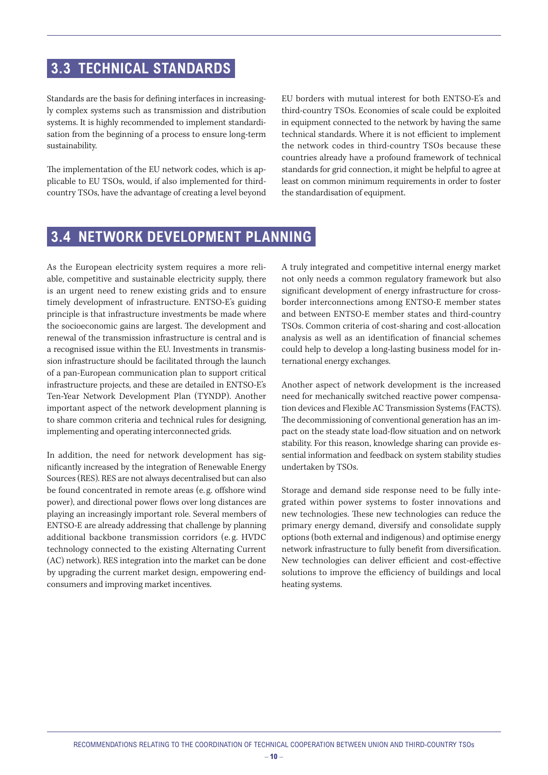#### <span id="page-9-0"></span> **3.3 TECHNICAL STANDARDS**

Standards are the basis for defining interfaces in increasingly complex systems such as transmission and distribution systems. It is highly recommended to implement standardisation from the beginning of a process to ensure long-term sustainability.

The implementation of the EU network codes, which is applicable to EU TSOs, would, if also implemented for thirdcountry TSOs, have the advantage of creating a level beyond EU borders with mutual interest for both ENTSO-E's and third-country TSOs. Economies of scale could be exploited in equipment connected to the network by having the same technical standards. Where it is not efficient to implement the network codes in third-country TSOs because these countries already have a profound framework of technical standards for grid connection, it might be helpful to agree at least on common minimum requirements in order to foster the standardisation of equipment.

#### **3.4 NETWORK DEVELOPMENT PLANNING**

As the European electricity system requires a more reliable, competitive and sustainable electricity supply, there is an urgent need to renew existing grids and to ensure timely development of infrastructure. ENTSO-E's guiding principle is that infrastructure investments be made where the socioeconomic gains are largest. The development and renewal of the transmission infrastructure is central and is a recognised issue within the EU. Investments in transmission infrastructure should be facilitated through the launch of a pan-European communication plan to support critical infrastructure projects, and these are detailed in ENTSO-E's Ten-Year Network Development Plan (TYNDP). Another important aspect of the network development planning is to share common criteria and technical rules for designing, implementing and operating interconnected grids.

In addition, the need for network development has significantly increased by the integration of Renewable Energy Sources (RES). RES are not always decentralised but can also be found concentrated in remote areas (e. g. offshore wind power), and directional power flows over long distances are playing an increasingly important role. Several members of ENTSO-E are already addressing that challenge by planning additional backbone transmission corridors (e. g. HVDC technology connected to the existing Alternating Current (AC) network). RES integration into the market can be done by upgrading the current market design, empowering endconsumers and improving market incentives.

A truly integrated and competitive internal energy market not only needs a common regulatory framework but also significant development of energy infrastructure for crossborder interconnections among ENTSO-E member states and between ENTSO-E member states and third-country TSOs. Common criteria of cost-sharing and cost-allocation analysis as well as an identification of financial schemes could help to develop a long-lasting business model for international energy exchanges.

Another aspect of network development is the increased need for mechanically switched reactive power compensation devices and Flexible AC Transmission Systems (FACTS). The decommissioning of conventional generation has an impact on the steady state load-flow situation and on network stability. For this reason, knowledge sharing can provide essential information and feedback on system stability studies undertaken by TSOs.

Storage and demand side response need to be fully integrated within power systems to foster innovations and new technologies. These new technologies can reduce the primary energy demand, diversify and consolidate supply options (both external and indigenous) and optimise energy network infrastructure to fully benefit from diversification. New technologies can deliver efficient and cost-effective solutions to improve the efficiency of buildings and local heating systems.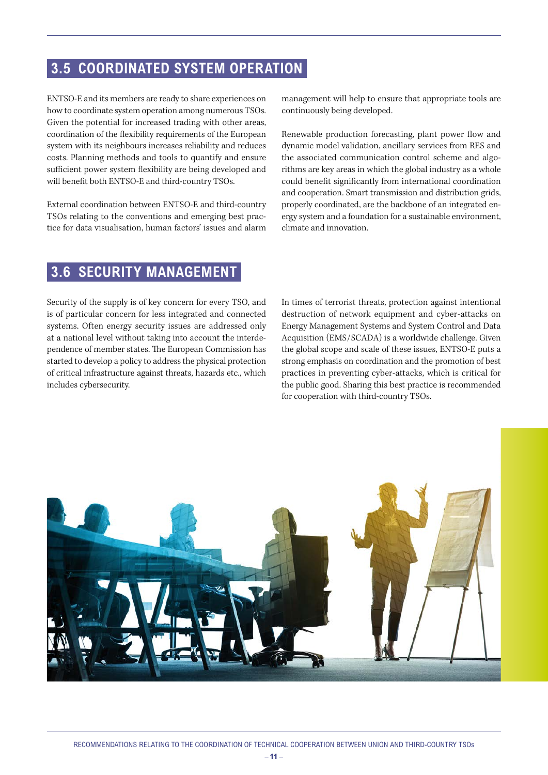#### <span id="page-10-0"></span> **3.5 COORDINATED SYSTEM OPERATION**

ENTSO-E and its members are ready to share experiences on how to coordinate system operation among numerous TSOs. Given the potential for increased trading with other areas, coordination of the flexibility requirements of the European system with its neighbours increases reliability and reduces costs. Planning methods and tools to quantify and ensure sufficient power system flexibility are being developed and will benefit both ENTSO-E and third-country TSOs.

External coordination between ENTSO-E and third-country TSOs relating to the conventions and emerging best practice for data visualisation, human factors' issues and alarm

management will help to ensure that appropriate tools are continuously being developed.

Renewable production forecasting, plant power flow and dynamic model validation, ancillary services from RES and the associated communication control scheme and algorithms are key areas in which the global industry as a whole could benefit significantly from international coordination and cooperation. Smart transmission and distribution grids, properly coordinated, are the backbone of an integrated energy system and a foundation for a sustainable environment, climate and innovation.

#### **3.6 SECURITY MANAGEMENT**

Security of the supply is of key concern for every TSO, and is of particular concern for less integrated and connected systems. Often energy security issues are addressed only at a national level without taking into account the interdependence of member states. The European Commission has started to develop a policy to address the physical protection of critical infrastructure against threats, hazards etc., which includes cybersecurity.

In times of terrorist threats, protection against intentional destruction of network equipment and cyber-attacks on Energy Management Systems and System Control and Data Acquisition (EMS/SCADA) is a worldwide challenge. Given the global scope and scale of these issues, ENTSO-E puts a strong emphasis on coordination and the promotion of best practices in preventing cyber-attacks, which is critical for the public good. Sharing this best practice is recommended for cooperation with third-country TSOs.

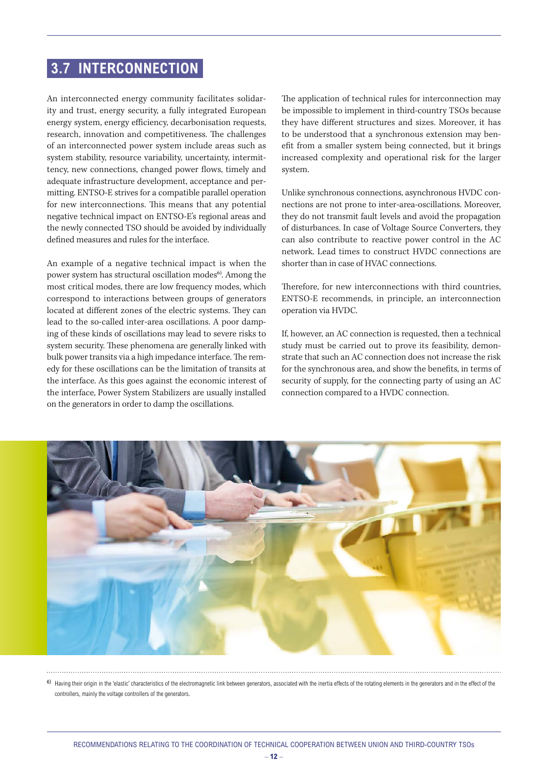#### <span id="page-11-0"></span> **3.7 INTERCONNECTION**

An interconnected energy community facilitates solidarity and trust, energy security, a fully integrated European energy system, energy efficiency, decarbonisation requests, research, innovation and competitiveness. The challenges of an interconnected power system include areas such as system stability, resource variability, uncertainty, intermittency, new connections, changed power flows, timely and adequate infrastructure development, acceptance and permitting. ENTSO-E strives for a compatible parallel operation for new interconnections. This means that any potential negative technical impact on ENTSO-E's regional areas and the newly connected TSO should be avoided by individually defined measures and rules for the interface.

An example of a negative technical impact is when the power system has structural oscillation modes<sup>6)</sup>. Among the most critical modes, there are low frequency modes, which correspond to interactions between groups of generators located at different zones of the electric systems. They can lead to the so-called inter-area oscillations. A poor damping of these kinds of oscillations may lead to severe risks to system security. These phenomena are generally linked with bulk power transits via a high impedance interface. The remedy for these oscillations can be the limitation of transits at the interface. As this goes against the economic interest of the interface, Power System Stabilizers are usually installed on the generators in order to damp the oscillations.

The application of technical rules for interconnection may be impossible to implement in third-country TSOs because they have different structures and sizes. Moreover, it has to be understood that a synchronous extension may benefit from a smaller system being connected, but it brings increased complexity and operational risk for the larger system.

Unlike synchronous connections, asynchronous HVDC connections are not prone to inter-area-oscillations. Moreover, they do not transmit fault levels and avoid the propagation of disturbances. In case of Voltage Source Converters, they can also contribute to reactive power control in the AC network. Lead times to construct HVDC connections are shorter than in case of HVAC connections.

Therefore, for new interconnections with third countries, ENTSO-E recommends, in principle, an interconnection operation via HVDC.

If, however, an AC connection is requested, then a technical study must be carried out to prove its feasibility, demonstrate that such an AC connection does not increase the risk for the synchronous area, and show the benefits, in terms of security of supply, for the connecting party of using an AC connection compared to a HVDC connection.



6) Having their origin in the 'elastic' characteristics of the electromagnetic link between generators, associated with the inertia effects of the rotating elements in the generators and in the effect of the controllers, mainly the voltage controllers of the generators.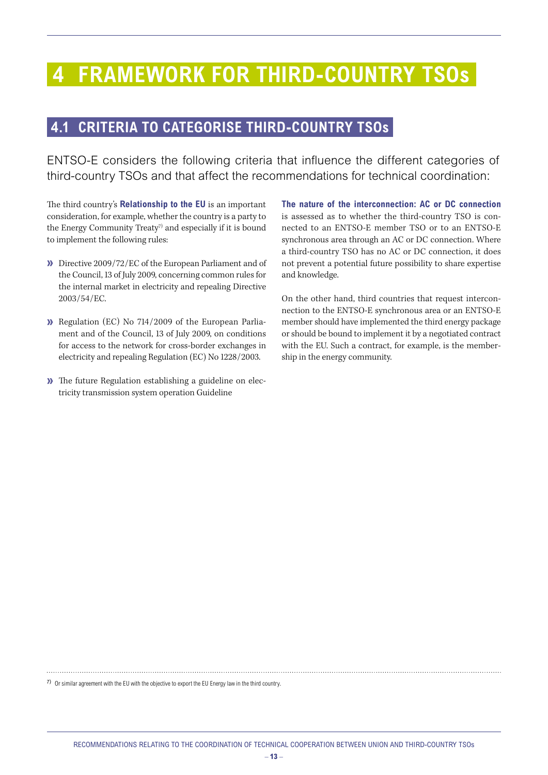### <span id="page-12-0"></span> **4 FRAMEWORK FOR THIRD-COUNTRY TSOs**

#### **4.1 CRITERIA TO CATEGORISE THIRD-COUNTRY TSOs**

ENTSO-E considers the following criteria that influence the different categories of third-country TSOs and that affect the recommendations for technical coordination:

The third country's **Relationship to the EU** is an important consideration, for example, whether the country is a party to the Energy Community Treaty<sup>7)</sup> and especially if it is bound to implement the following rules:

- **»** Directive 2009/72/EC of the European Parliament and of the Council, 13 of July 2009, concerning common rules for the internal market in electricity and repealing Directive 2003/54/EC.
- **»** Regulation (EC) No 714/2009 of the European Parliament and of the Council, 13 of July 2009, on conditions for access to the network for cross-border exchanges in electricity and repealing Regulation (EC) No 1228/2003.
- **»** The future Regulation establishing a guideline on electricity transmission system operation Guideline

**The nature of the interconnection: AC or DC connection** is assessed as to whether the third-country TSO is connected to an ENTSO-E member TSO or to an ENTSO-E synchronous area through an AC or DC connection. Where a third-country TSO has no AC or DC connection, it does not prevent a potential future possibility to share expertise and knowledge.

On the other hand, third countries that request interconnection to the ENTSO-E synchronous area or an ENTSO-E member should have implemented the third energy package or should be bound to implement it by a negotiated contract with the EU. Such a contract, for example, is the membership in the energy community.

7) Or similar agreement with the EU with the objective to export the EU Energy law in the third country.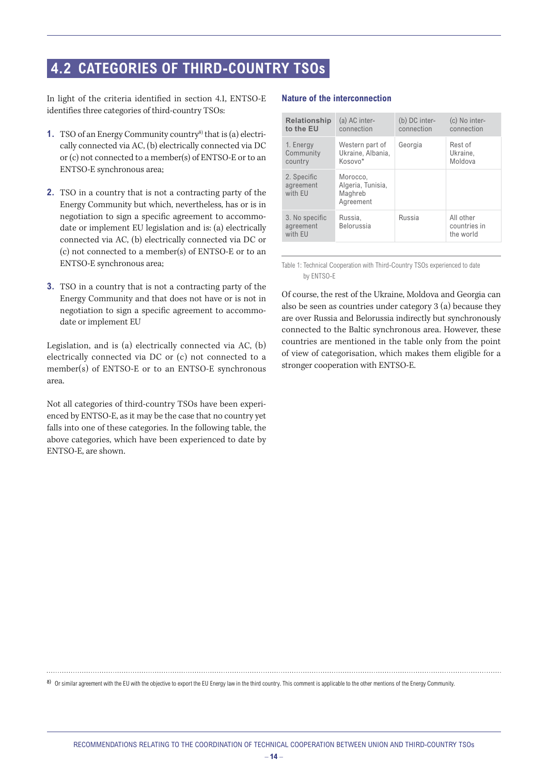#### <span id="page-13-0"></span> **4.2 CATEGORIES OF THIRD-COUNTRY TSOs**

In light of the criteria identified in section 4.1, ENTSO-E identifies three categories of third-country TSOs:

- **1.** TSO of an Energy Community country<sup>8)</sup> that is (a) electrically connected via AC, (b) electrically connected via DC or (c) not connected to a member(s) of ENTSO-E or to an ENTSO-E synchronous area;
- **2.** TSO in a country that is not a contracting party of the Energy Community but which, nevertheless, has or is in negotiation to sign a specific agreement to accommodate or implement EU legislation and is: (a) electrically connected via AC, (b) electrically connected via DC or (c) not connected to a member(s) of ENTSO-E or to an ENTSO-E synchronous area;
- **3.** TSO in a country that is not a contracting party of the Energy Community and that does not have or is not in negotiation to sign a specific agreement to accommodate or implement EU

Legislation, and is (a) electrically connected via AC, (b) electrically connected via DC or (c) not connected to a member(s) of ENTSO-E or to an ENTSO-E synchronous area.

Not all categories of third-country TSOs have been experienced by ENTSO-E, as it may be the case that no country yet falls into one of these categories. In the following table, the above categories, which have been experienced to date by ENTSO-E, are shown.

#### **Nature of the interconnection**

| <b>Relationship</b><br>to the EU       | (a) AC inter-<br>connection                           | (b) DC inter-<br>connection | (c) No inter-<br>connection            |
|----------------------------------------|-------------------------------------------------------|-----------------------------|----------------------------------------|
| 1. Energy<br>Community<br>country      | Western part of<br>Ukraine, Albania,<br>Kosovo*       | Georgia                     | Rest of<br>Ukraine.<br>Moldova         |
| 2. Specific<br>agreement<br>with EU    | Morocco.<br>Algeria, Tunisia,<br>Maghreb<br>Agreement |                             |                                        |
| 3. No specific<br>agreement<br>with EU | Russia.<br>Belorussia                                 | Russia                      | All other<br>countries in<br>the world |
|                                        |                                                       |                             |                                        |

Table 1: Technical Cooperation with Third-Country TSOs experienced to date by ENTSO-E

Of course, the rest of the Ukraine, Moldova and Georgia can also be seen as countries under category 3 (a) because they are over Russia and Belorussia indirectly but synchronously connected to the Baltic synchronous area. However, these countries are mentioned in the table only from the point of view of categorisation, which makes them eligible for a stronger cooperation with ENTSO-E.

8) Or similar agreement with the EU with the objective to export the EU Energy law in the third country. This comment is applicable to the other mentions of the Energy Community.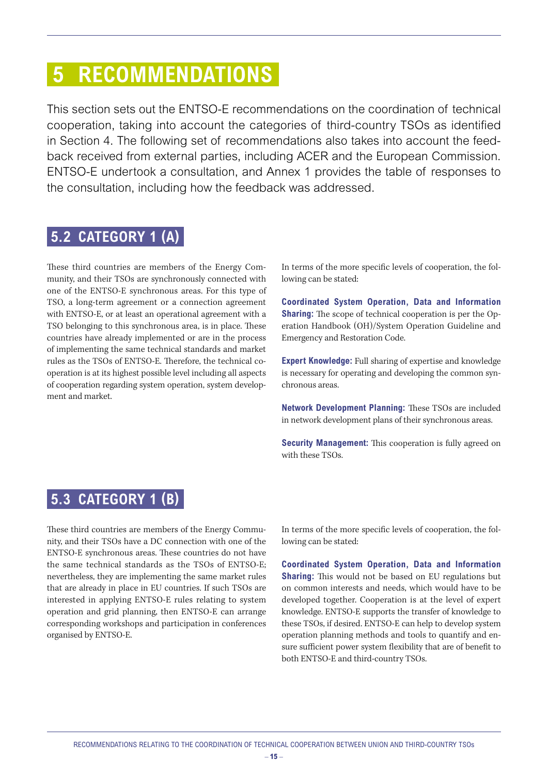### <span id="page-14-0"></span> **5 RECOMMENDATIONS**

This section sets out the ENTSO-E recommendations on the coordination of technical cooperation, taking into account the categories of third-country TSOs as identified in Section 4. The following set of recommendations also takes into account the feedback received from external parties, including ACER and the European Commission. ENTSO-E undertook a consultation, and Annex 1 provides the table of responses to the consultation, including how the feedback was addressed.

#### **5.2 CATEGORY 1 (A)**

These third countries are members of the Energy Community, and their TSOs are synchronously connected with one of the ENTSO-E synchronous areas. For this type of TSO, a long-term agreement or a connection agreement with ENTSO-E, or at least an operational agreement with a TSO belonging to this synchronous area, is in place. These countries have already implemented or are in the process of implementing the same technical standards and market rules as the TSOs of ENTSO-E. Therefore, the technical cooperation is at its highest possible level including all aspects of cooperation regarding system operation, system development and market.

In terms of the more specific levels of cooperation, the following can be stated:

**Coordinated System Operation, Data and Information Sharing:** The scope of technical cooperation is per the Operation Handbook (OH)/System Operation Guideline and Emergency and Restoration Code.

**Expert Knowledge:** Full sharing of expertise and knowledge is necessary for operating and developing the common synchronous areas.

**Network Development Planning:** These TSOs are included in network development plans of their synchronous areas.

**Security Management:** This cooperation is fully agreed on with these TSOs.

#### **5.3 CATEGORY 1 (B)**

These third countries are members of the Energy Community, and their TSOs have a DC connection with one of the ENTSO-E synchronous areas. These countries do not have the same technical standards as the TSOs of ENTSO-E; nevertheless, they are implementing the same market rules that are already in place in EU countries. If such TSOs are interested in applying ENTSO-E rules relating to system operation and grid planning, then ENTSO-E can arrange corresponding workshops and participation in conferences organised by ENTSO-E.

In terms of the more specific levels of cooperation, the following can be stated:

**Coordinated System Operation, Data and Information Sharing:** This would not be based on EU regulations but on common interests and needs, which would have to be developed together. Cooperation is at the level of expert knowledge. ENTSO-E supports the transfer of knowledge to these TSOs, if desired. ENTSO-E can help to develop system operation planning methods and tools to quantify and ensure sufficient power system flexibility that are of benefit to both ENTSO-E and third-country TSOs.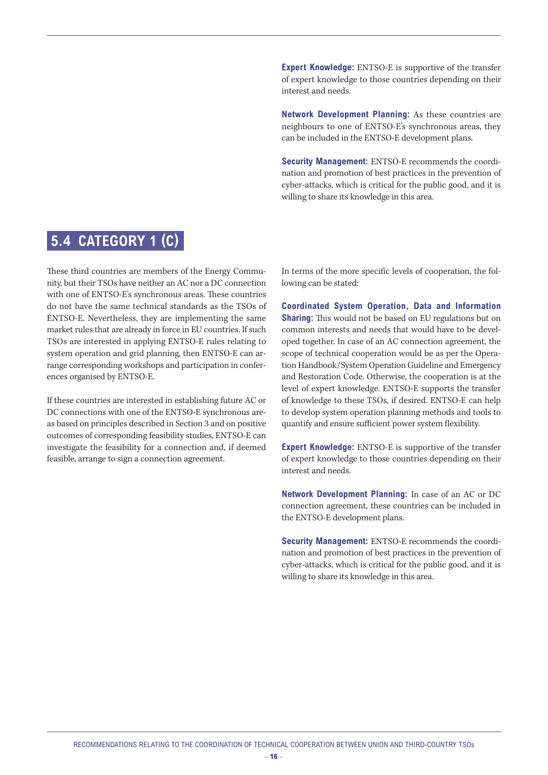#### <span id="page-15-0"></span> **5.4 CATEGORY 1 (C)**

These third countries are members of the Energy Community, but their TSOs have neither an AC nor a DC connection with one of ENTSO-E's synchronous areas. These countries do not have the same technical standards as the TSOs of ENTSO-E. Nevertheless, they are implementing the same market rules that are already in force in EU countries. If such TSOs are interested in applying ENTSO-E rules relating to system operation and grid planning, then ENTSO-E can arrange corresponding workshops and participation in conferences organised by ENTSO-E.

If these countries are interested in establishing future AC or DC connections with one of the ENTSO-E synchronous areas based on principles described in Section 3 and on positive outcomes of corresponding feasibility studies, ENTSO-E can investigate the feasibility for a connection and, if deemed feasible, arrange to sign a connection agreement.

**Expert Knowledge:** ENTSO-E is supportive of the transfer of expert knowledge to those countries depending on their interest and needs.

**Network Development Planning:** As these countries are neighbours to one of ENTSO-E's synchronous areas, they can be included in the ENTSO-E development plans.

**Security Management:** ENTSO-E recommends the coordination and promotion of best practices in the prevention of cyber-attacks, which is critical for the public good, and it is willing to share its knowledge in this area.

In terms of the more specific levels of cooperation, the following can be stated:

**Coordinated System Operation, Data and Information Sharing:** This would not be based on EU regulations but on common interests and needs that would have to be developed together. In case of an AC connection agreement, the scope of technical cooperation would be as per the Operation Handbook/System Operation Guideline and Emergency and Restoration Code. Otherwise, the cooperation is at the level of expert knowledge. ENTSO-E supports the transfer of knowledge to these TSOs, if desired. ENTSO-E can help to develop system operation planning methods and tools to quantify and ensure sufficient power system flexibility.

**Expert Knowledge:** ENTSO-E is supportive of the transfer of expert knowledge to those countries depending on their interest and needs.

**Network Development Planning:** In case of an AC or DC connection agreement, these countries can be included in the ENTSO-E development plans.

**Security Management:** ENTSO-E recommends the coordination and promotion of best practices in the prevention of cyber-attacks, which is critical for the public good, and it is willing to share its knowledge in this area.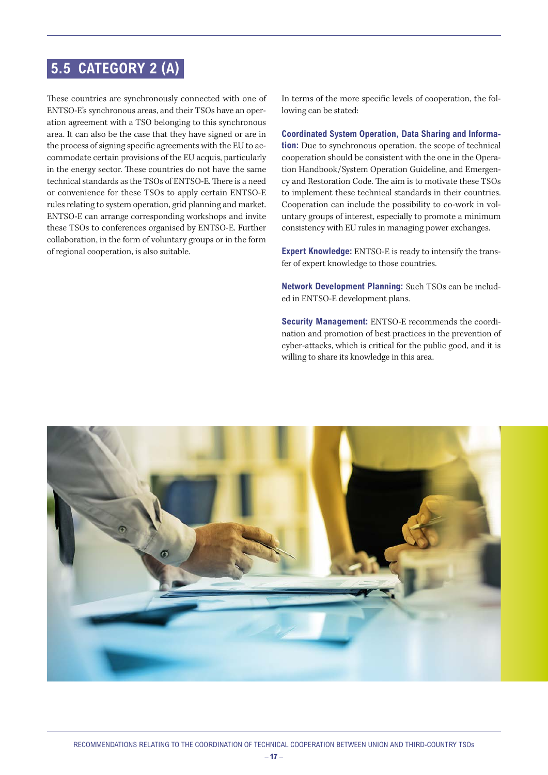#### <span id="page-16-0"></span> **5.5 CATEGORY 2 (A)**

These countries are synchronously connected with one of ENTSO-E's synchronous areas, and their TSOs have an operation agreement with a TSO belonging to this synchronous area. It can also be the case that they have signed or are in the process of signing specific agreements with the EU to accommodate certain provisions of the EU acquis, particularly in the energy sector. These countries do not have the same technical standards as the TSOs of ENTSO-E. There is a need or convenience for these TSOs to apply certain ENTSO-E rules relating to system operation, grid planning and market. ENTSO-E can arrange corresponding workshops and invite these TSOs to conferences organised by ENTSO-E. Further collaboration, in the form of voluntary groups or in the form of regional cooperation, is also suitable.

In terms of the more specific levels of cooperation, the following can be stated:

**Coordinated System Operation, Data Sharing and Information:** Due to synchronous operation, the scope of technical cooperation should be consistent with the one in the Operation Handbook/System Operation Guideline, and Emergency and Restoration Code. The aim is to motivate these TSOs to implement these technical standards in their countries. Cooperation can include the possibility to co-work in voluntary groups of interest, especially to promote a minimum consistency with EU rules in managing power exchanges.

**Expert Knowledge:** ENTSO-E is ready to intensify the transfer of expert knowledge to those countries.

**Network Development Planning:** Such TSOs can be included in ENTSO-E development plans.

**Security Management:** ENTSO-E recommends the coordination and promotion of best practices in the prevention of cyber-attacks, which is critical for the public good, and it is willing to share its knowledge in this area.

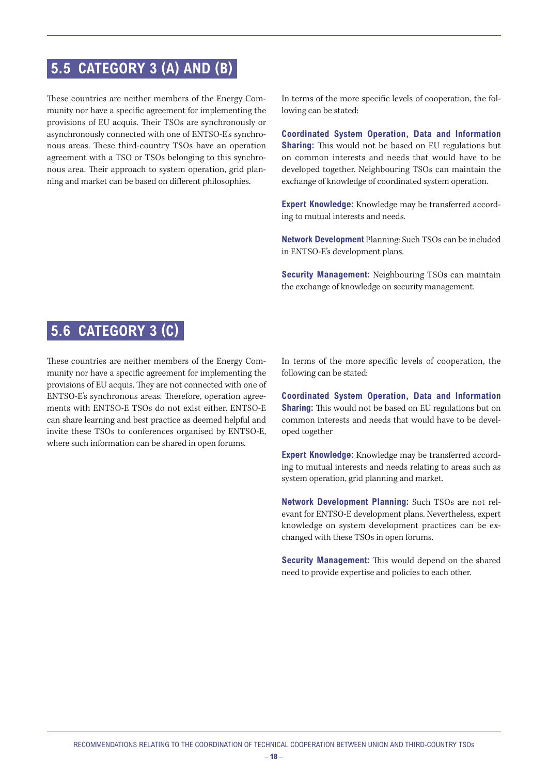### <span id="page-17-0"></span> **5.5 CATEGORY 3 (A) AND (B)**

These countries are neither members of the Energy Community nor have a specific agreement for implementing the provisions of EU acquis. Their TSOs are synchronously or asynchronously connected with one of ENTSO-E's synchronous areas. These third-country TSOs have an operation agreement with a TSO or TSOs belonging to this synchronous area. Their approach to system operation, grid planning and market can be based on different philosophies.

In terms of the more specific levels of cooperation, the following can be stated:

**Coordinated System Operation, Data and Information Sharing:** This would not be based on EU regulations but on common interests and needs that would have to be developed together. Neighbouring TSOs can maintain the exchange of knowledge of coordinated system operation.

**Expert Knowledge:** Knowledge may be transferred according to mutual interests and needs.

**Network Development** Planning: Such TSOs can be included in ENTSO-E's development plans.

**Security Management:** Neighbouring TSOs can maintain the exchange of knowledge on security management.

#### **5.6 CATEGORY 3 (C)**

These countries are neither members of the Energy Community nor have a specific agreement for implementing the provisions of EU acquis. They are not connected with one of ENTSO-E's synchronous areas. Therefore, operation agreements with ENTSO-E TSOs do not exist either. ENTSO-E can share learning and best practice as deemed helpful and invite these TSOs to conferences organised by ENTSO-E, where such information can be shared in open forums.

In terms of the more specific levels of cooperation, the following can be stated:

**Coordinated System Operation, Data and Information Sharing:** This would not be based on EU regulations but on common interests and needs that would have to be developed together

**Expert Knowledge:** Knowledge may be transferred according to mutual interests and needs relating to areas such as system operation, grid planning and market.

**Network Development Planning:** Such TSOs are not relevant for ENTSO-E development plans. Nevertheless, expert knowledge on system development practices can be exchanged with these TSOs in open forums.

**Security Management:** This would depend on the shared need to provide expertise and policies to each other.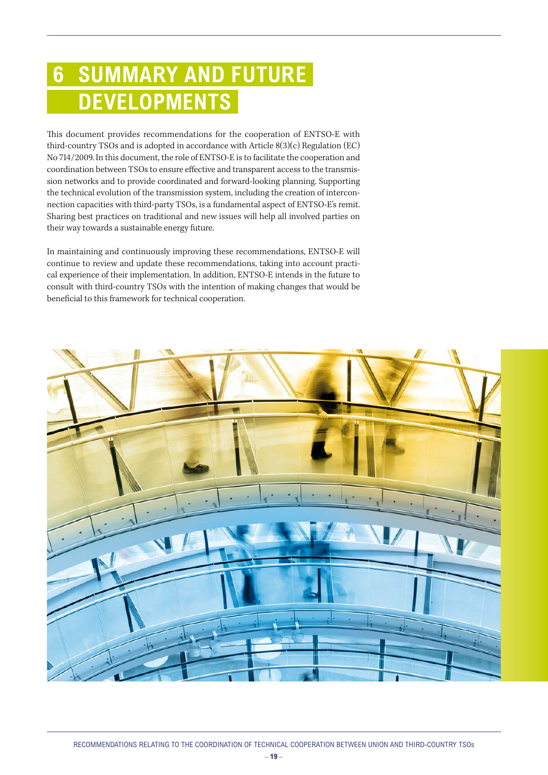## <span id="page-18-0"></span> **6 SUMMARY AND FUTURE DEVELOPMENTS**

This document provides recommendations for the cooperation of ENTSO-E with third-country TSOs and is adopted in accordance with Article 8(3)(c) Regulation (EC) No 714/2009. In this document, the role of ENTSO-E is to facilitate the cooperation and coordination between TSOs to ensure effective and transparent access to the transmission networks and to provide coordinated and forward-looking planning. Supporting the technical evolution of the transmission system, including the creation of interconnection capacities with third-party TSOs, is a fundamental aspect of ENTSO-E's remit. Sharing best practices on traditional and new issues will help all involved parties on their way towards a sustainable energy future.

In maintaining and continuously improving these recommendations, ENTSO-E will continue to review and update these recommendations, taking into account practical experience of their implementation. In addition, ENTSO-E intends in the future to consult with third-country TSOs with the intention of making changes that would be beneficial to this framework for technical cooperation.

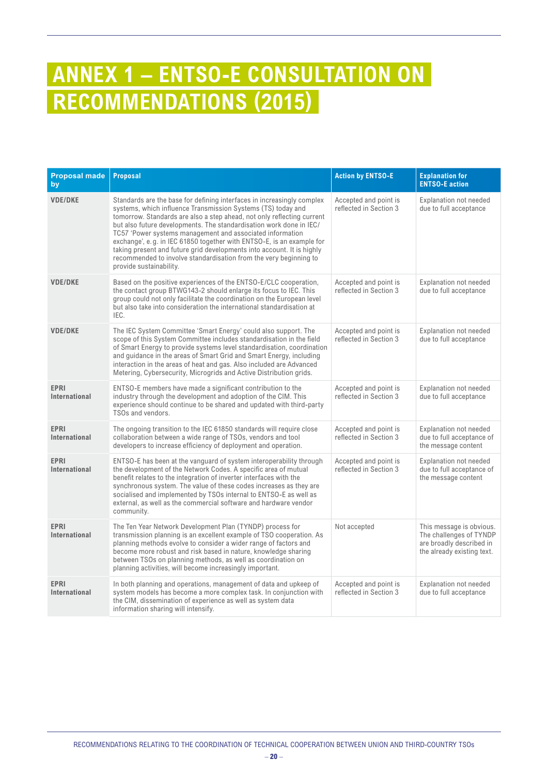## <span id="page-19-0"></span>**ANNEX 1 – ENTSO-E CONSULTATION ON RECOMMENDATIONS (2015)**

| <b>Proposal made</b><br>by   | <b>Proposal</b>                                                                                                                                                                                                                                                                                                                                                                                                                                                                                                                                                                                         | <b>Action by ENTSO-E</b>                        | <b>Explanation for</b><br><b>ENTSO-E action</b>                                                               |
|------------------------------|---------------------------------------------------------------------------------------------------------------------------------------------------------------------------------------------------------------------------------------------------------------------------------------------------------------------------------------------------------------------------------------------------------------------------------------------------------------------------------------------------------------------------------------------------------------------------------------------------------|-------------------------------------------------|---------------------------------------------------------------------------------------------------------------|
| <b>VDE/DKE</b>               | Standards are the base for defining interfaces in increasingly complex<br>systems, which influence Transmission Systems (TS) today and<br>tomorrow. Standards are also a step ahead, not only reflecting current<br>but also future developments. The standardisation work done in IEC/<br>TC57 'Power systems management and associated information<br>exchange', e.g. in IEC 61850 together with ENTSO-E, is an example for<br>taking present and future grid developments into account. It is highly<br>recommended to involve standardisation from the very beginning to<br>provide sustainability. | Accepted and point is<br>reflected in Section 3 | <b>Explanation not needed</b><br>due to full acceptance                                                       |
| <b>VDE/DKE</b>               | Based on the positive experiences of the ENTSO-E/CLC cooperation,<br>the contact group BTWG143-2 should enlarge its focus to IEC. This<br>group could not only facilitate the coordination on the European level<br>but also take into consideration the international standardisation at<br>IEC.                                                                                                                                                                                                                                                                                                       | Accepted and point is<br>reflected in Section 3 | <b>Explanation not needed</b><br>due to full acceptance                                                       |
| <b>VDE/DKE</b>               | The IEC System Committee 'Smart Energy' could also support. The<br>scope of this System Committee includes standardisation in the field<br>of Smart Energy to provide systems level standardisation, coordination<br>and guidance in the areas of Smart Grid and Smart Energy, including<br>interaction in the areas of heat and gas. Also included are Advanced<br>Metering, Cybersecurity, Microgrids and Active Distribution grids.                                                                                                                                                                  | Accepted and point is<br>reflected in Section 3 | <b>Explanation not needed</b><br>due to full acceptance                                                       |
| <b>EPRI</b><br>International | ENTSO-E members have made a significant contribution to the<br>industry through the development and adoption of the CIM. This<br>experience should continue to be shared and updated with third-party<br>TSOs and vendors.                                                                                                                                                                                                                                                                                                                                                                              | Accepted and point is<br>reflected in Section 3 | <b>Explanation not needed</b><br>due to full acceptance                                                       |
| <b>EPRI</b><br>International | The ongoing transition to the IEC 61850 standards will require close<br>collaboration between a wide range of TSOs, vendors and tool<br>developers to increase efficiency of deployment and operation.                                                                                                                                                                                                                                                                                                                                                                                                  | Accepted and point is<br>reflected in Section 3 | <b>Explanation not needed</b><br>due to full acceptance of<br>the message content                             |
| <b>EPRI</b><br>International | ENTSO-E has been at the vanguard of system interoperability through<br>the development of the Network Codes. A specific area of mutual<br>benefit relates to the integration of inverter interfaces with the<br>synchronous system. The value of these codes increases as they are<br>socialised and implemented by TSOs internal to ENTSO-E as well as<br>external, as well as the commercial software and hardware vendor<br>community.                                                                                                                                                               | Accepted and point is<br>reflected in Section 3 | <b>Explanation not needed</b><br>due to full acceptance of<br>the message content                             |
| <b>EPRI</b><br>International | The Ten Year Network Development Plan (TYNDP) process for<br>transmission planning is an excellent example of TSO cooperation. As<br>planning methods evolve to consider a wider range of factors and<br>become more robust and risk based in nature, knowledge sharing<br>between TSOs on planning methods, as well as coordination on<br>planning activities, will become increasingly important.                                                                                                                                                                                                     | Not accepted                                    | This message is obvious.<br>The challenges of TYNDP<br>are broadly described in<br>the already existing text. |
| <b>EPRI</b><br>International | In both planning and operations, management of data and upkeep of<br>system models has become a more complex task. In conjunction with<br>the CIM, dissemination of experience as well as system data<br>information sharing will intensify.                                                                                                                                                                                                                                                                                                                                                            | Accepted and point is<br>reflected in Section 3 | <b>Explanation not needed</b><br>due to full acceptance                                                       |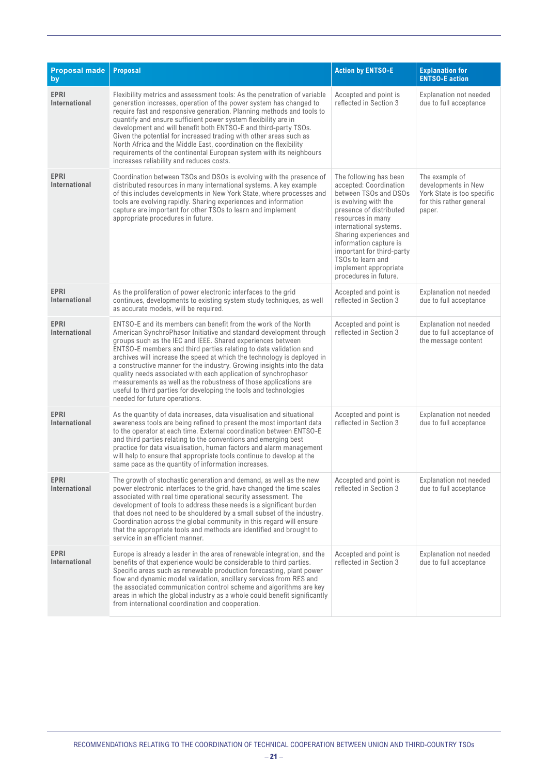| <b>Proposal made</b><br>by          | <b>Proposal</b>                                                                                                                                                                                                                                                                                                                                                                                                                                                                                                                                                                                                                                                            | <b>Action by ENTSO-E</b>                                                                                                                                                                                                                                                                                                             | <b>Explanation for</b><br><b>ENTSO-E action</b>                                                          |
|-------------------------------------|----------------------------------------------------------------------------------------------------------------------------------------------------------------------------------------------------------------------------------------------------------------------------------------------------------------------------------------------------------------------------------------------------------------------------------------------------------------------------------------------------------------------------------------------------------------------------------------------------------------------------------------------------------------------------|--------------------------------------------------------------------------------------------------------------------------------------------------------------------------------------------------------------------------------------------------------------------------------------------------------------------------------------|----------------------------------------------------------------------------------------------------------|
| <b>EPRI</b><br><b>International</b> | Flexibility metrics and assessment tools: As the penetration of variable<br>generation increases, operation of the power system has changed to<br>require fast and responsive generation. Planning methods and tools to<br>quantify and ensure sufficient power system flexibility are in<br>development and will benefit both ENTSO-E and third-party TSOs.<br>Given the potential for increased trading with other areas such as<br>North Africa and the Middle East, coordination on the flexibility<br>requirements of the continental European system with its neighbours<br>increases reliability and reduces costs.                                                 | Accepted and point is<br>reflected in Section 3                                                                                                                                                                                                                                                                                      | <b>Explanation not needed</b><br>due to full acceptance                                                  |
| <b>EPRI</b><br>International        | Coordination between TSOs and DSOs is evolving with the presence of<br>distributed resources in many international systems. A key example<br>of this includes developments in New York State, where processes and<br>tools are evolving rapidly. Sharing experiences and information<br>capture are important for other TSOs to learn and implement<br>appropriate procedures in future.                                                                                                                                                                                                                                                                                   | The following has been<br>accepted: Coordination<br>between TSOs and DSOs<br>is evolving with the<br>presence of distributed<br>resources in many<br>international systems.<br>Sharing experiences and<br>information capture is<br>important for third-party<br>TSOs to learn and<br>implement appropriate<br>procedures in future. | The example of<br>developments in New<br>York State is too specific<br>for this rather general<br>paper. |
| <b>EPRI</b><br>International        | As the proliferation of power electronic interfaces to the grid<br>continues, developments to existing system study techniques, as well<br>as accurate models, will be required.                                                                                                                                                                                                                                                                                                                                                                                                                                                                                           | Accepted and point is<br>reflected in Section 3                                                                                                                                                                                                                                                                                      | <b>Explanation not needed</b><br>due to full acceptance                                                  |
| <b>EPRI</b><br>International        | ENTSO-E and its members can benefit from the work of the North<br>American SynchroPhasor Initiative and standard development through<br>groups such as the IEC and IEEE. Shared experiences between<br>ENTSO-E members and third parties relating to data validation and<br>archives will increase the speed at which the technology is deployed in<br>a constructive manner for the industry. Growing insights into the data<br>quality needs associated with each application of synchrophasor<br>measurements as well as the robustness of those applications are<br>useful to third parties for developing the tools and technologies<br>needed for future operations. | Accepted and point is<br>reflected in Section 3                                                                                                                                                                                                                                                                                      | <b>Explanation not needed</b><br>due to full acceptance of<br>the message content                        |
| <b>EPRI</b><br>International        | As the quantity of data increases, data visualisation and situational<br>awareness tools are being refined to present the most important data<br>to the operator at each time. External coordination between ENTSO-E<br>and third parties relating to the conventions and emerging best<br>practice for data visualisation, human factors and alarm management<br>will help to ensure that appropriate tools continue to develop at the<br>same pace as the quantity of information increases.                                                                                                                                                                             | Accepted and point is<br>reflected in Section 3                                                                                                                                                                                                                                                                                      | Explanation not needed<br>due to full acceptance                                                         |
| <b>EPRI</b><br>International        | The growth of stochastic generation and demand, as well as the new<br>power electronic interfaces to the grid, have changed the time scales<br>associated with real time operational security assessment. The<br>development of tools to address these needs is a significant burden<br>that does not need to be shouldered by a small subset of the industry.<br>Coordination across the global community in this regard will ensure<br>that the appropriate tools and methods are identified and brought to<br>service in an efficient manner.                                                                                                                           | Accepted and point is<br>reflected in Section 3                                                                                                                                                                                                                                                                                      | Explanation not needed<br>due to full acceptance                                                         |
| <b>EPRI</b><br>International        | Europe is already a leader in the area of renewable integration, and the<br>benefits of that experience would be considerable to third parties.<br>Specific areas such as renewable production forecasting, plant power<br>flow and dynamic model validation, ancillary services from RES and<br>the associated communication control scheme and algorithms are key<br>areas in which the global industry as a whole could benefit significantly<br>from international coordination and cooperation.                                                                                                                                                                       | Accepted and point is<br>reflected in Section 3                                                                                                                                                                                                                                                                                      | <b>Explanation not needed</b><br>due to full acceptance                                                  |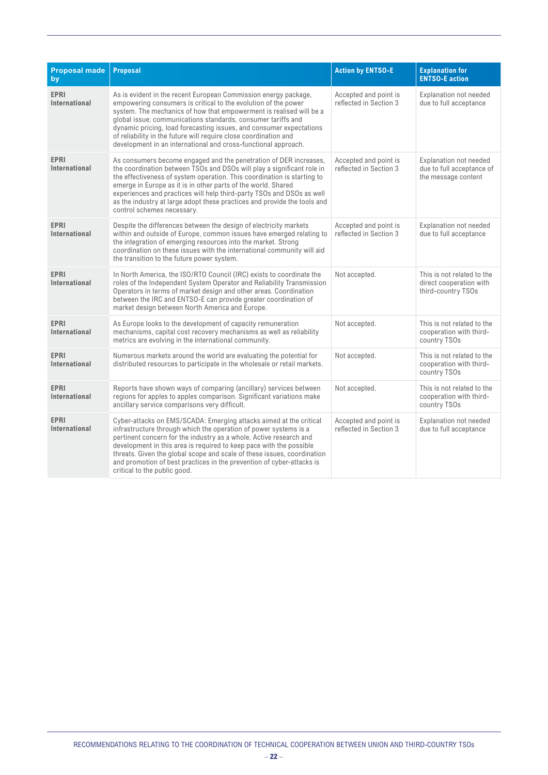| <b>Proposal made</b><br>by          | <b>Proposal</b>                                                                                                                                                                                                                                                                                                                                                                                                                                                                       | <b>Action by ENTSO-E</b>                        | <b>Explanation for</b><br><b>ENTSO-E action</b>                                   |
|-------------------------------------|---------------------------------------------------------------------------------------------------------------------------------------------------------------------------------------------------------------------------------------------------------------------------------------------------------------------------------------------------------------------------------------------------------------------------------------------------------------------------------------|-------------------------------------------------|-----------------------------------------------------------------------------------|
| <b>EPRI</b><br>International        | As is evident in the recent European Commission energy package,<br>empowering consumers is critical to the evolution of the power<br>system. The mechanics of how that empowerment is realised will be a<br>global issue; communications standards, consumer tariffs and<br>dynamic pricing, load forecasting issues, and consumer expectations<br>of reliability in the future will require close coordination and<br>development in an international and cross-functional approach. | Accepted and point is<br>reflected in Section 3 | <b>Explanation not needed</b><br>due to full acceptance                           |
| <b>EPRI</b><br>International        | As consumers become engaged and the penetration of DER increases,<br>the coordination between TSOs and DSOs will play a significant role in<br>the effectiveness of system operation. This coordination is starting to<br>emerge in Europe as it is in other parts of the world. Shared<br>experiences and practices will help third-party TSOs and DSOs as well<br>as the industry at large adopt these practices and provide the tools and<br>control schemes necessary.            | Accepted and point is<br>reflected in Section 3 | <b>Explanation not needed</b><br>due to full acceptance of<br>the message content |
| <b>EPRI</b><br>International        | Despite the differences between the design of electricity markets<br>within and outside of Europe, common issues have emerged relating to<br>the integration of emerging resources into the market. Strong<br>coordination on these issues with the international community will aid<br>the transition to the future power system.                                                                                                                                                    | Accepted and point is<br>reflected in Section 3 | Explanation not needed<br>due to full acceptance                                  |
| <b>EPRI</b><br>International        | In North America, the ISO/RTO Council (IRC) exists to coordinate the<br>roles of the Independent System Operator and Reliability Transmission<br>Operators in terms of market design and other areas. Coordination<br>between the IRC and ENTSO-E can provide greater coordination of<br>market design between North America and Europe.                                                                                                                                              | Not accepted.                                   | This is not related to the<br>direct cooperation with<br>third-country TSOs       |
| <b>EPRI</b><br>International        | As Europe looks to the development of capacity remuneration<br>mechanisms, capital cost recovery mechanisms as well as reliability<br>metrics are evolving in the international community.                                                                                                                                                                                                                                                                                            | Not accepted.                                   | This is not related to the<br>cooperation with third-<br>country TSOs             |
| <b>EPRI</b><br>International        | Numerous markets around the world are evaluating the potential for<br>distributed resources to participate in the wholesale or retail markets.                                                                                                                                                                                                                                                                                                                                        | Not accepted.                                   | This is not related to the<br>cooperation with third-<br>country TSOs             |
| <b>EPRI</b><br>International        | Reports have shown ways of comparing (ancillary) services between<br>regions for apples to apples comparison. Significant variations make<br>ancillary service comparisons very difficult.                                                                                                                                                                                                                                                                                            | Not accepted.                                   | This is not related to the<br>cooperation with third-<br>country TSOs             |
| <b>EPRI</b><br><b>International</b> | Cyber-attacks on EMS/SCADA: Emerging attacks aimed at the critical<br>infrastructure through which the operation of power systems is a<br>pertinent concern for the industry as a whole. Active research and<br>development in this area is required to keep pace with the possible<br>threats. Given the global scope and scale of these issues, coordination<br>and promotion of best practices in the prevention of cyber-attacks is<br>critical to the public good.               | Accepted and point is<br>reflected in Section 3 | <b>Explanation not needed</b><br>due to full acceptance                           |